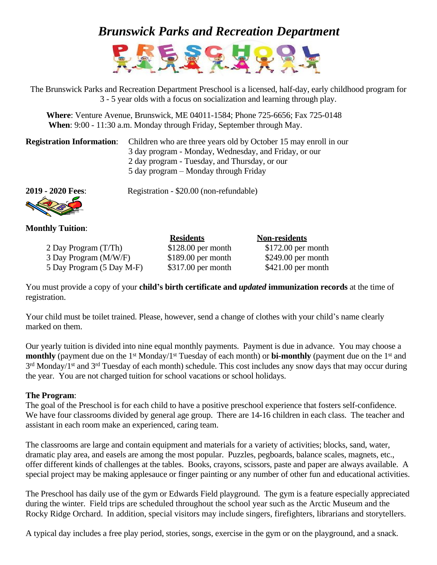## *Brunswick Parks and Recreation Department*



The Brunswick Parks and Recreation Department Preschool is a licensed, half-day, early childhood program for 3 - 5 year olds with a focus on socialization and learning through play.

**Where**: Venture Avenue, Brunswick, ME 04011-1584; Phone 725-6656; Fax 725-0148 **When**: 9:00 - 11:30 a.m. Monday through Friday, September through May.

| <b>Registration Information:</b> Children who are three years old by October 15 may enroll in our |  |
|---------------------------------------------------------------------------------------------------|--|
| 3 day program - Monday, Wednesday, and Friday, or our                                             |  |
| 2 day program - Tuesday, and Thursday, or our                                                     |  |
| 5 day program – Monday through Friday                                                             |  |



**2019 - 2020 Fees**: Registration - \$20.00 (non-refundable)

## **Monthly Tuition**:

|                           | <b>Residents</b>    | <b>Non-residents</b> |
|---------------------------|---------------------|----------------------|
| 2 Day Program (T/Th)      | $$128.00$ per month | $$172.00$ per month  |
| 3 Day Program (M/W/F)     | $$189.00$ per month | $$249.00$ per month  |
| 5 Day Program (5 Day M-F) | $$317.00$ per month | $$421.00$ per month  |

You must provide a copy of your **child's birth certificate and** *updated* **immunization records** at the time of registration.

Your child must be toilet trained. Please, however, send a change of clothes with your child's name clearly marked on them.

Our yearly tuition is divided into nine equal monthly payments. Payment is due in advance. You may choose a **monthly** (payment due on the 1<sup>st</sup> Monday/1<sup>st</sup> Tuesday of each month) or **bi-monthly** (payment due on the 1<sup>st</sup> and 3<sup>rd</sup> Monday/1<sup>st</sup> and 3<sup>rd</sup> Tuesday of each month) schedule. This cost includes any snow days that may occur during the year. You are not charged tuition for school vacations or school holidays.

## **The Program**:

The goal of the Preschool is for each child to have a positive preschool experience that fosters self-confidence. We have four classrooms divided by general age group. There are 14-16 children in each class. The teacher and assistant in each room make an experienced, caring team.

The classrooms are large and contain equipment and materials for a variety of activities; blocks, sand, water, dramatic play area, and easels are among the most popular. Puzzles, pegboards, balance scales, magnets, etc., offer different kinds of challenges at the tables. Books, crayons, scissors, paste and paper are always available. A special project may be making applesauce or finger painting or any number of other fun and educational activities.

The Preschool has daily use of the gym or Edwards Field playground. The gym is a feature especially appreciated during the winter. Field trips are scheduled throughout the school year such as the Arctic Museum and the Rocky Ridge Orchard. In addition, special visitors may include singers, firefighters, librarians and storytellers.

A typical day includes a free play period, stories, songs, exercise in the gym or on the playground, and a snack.